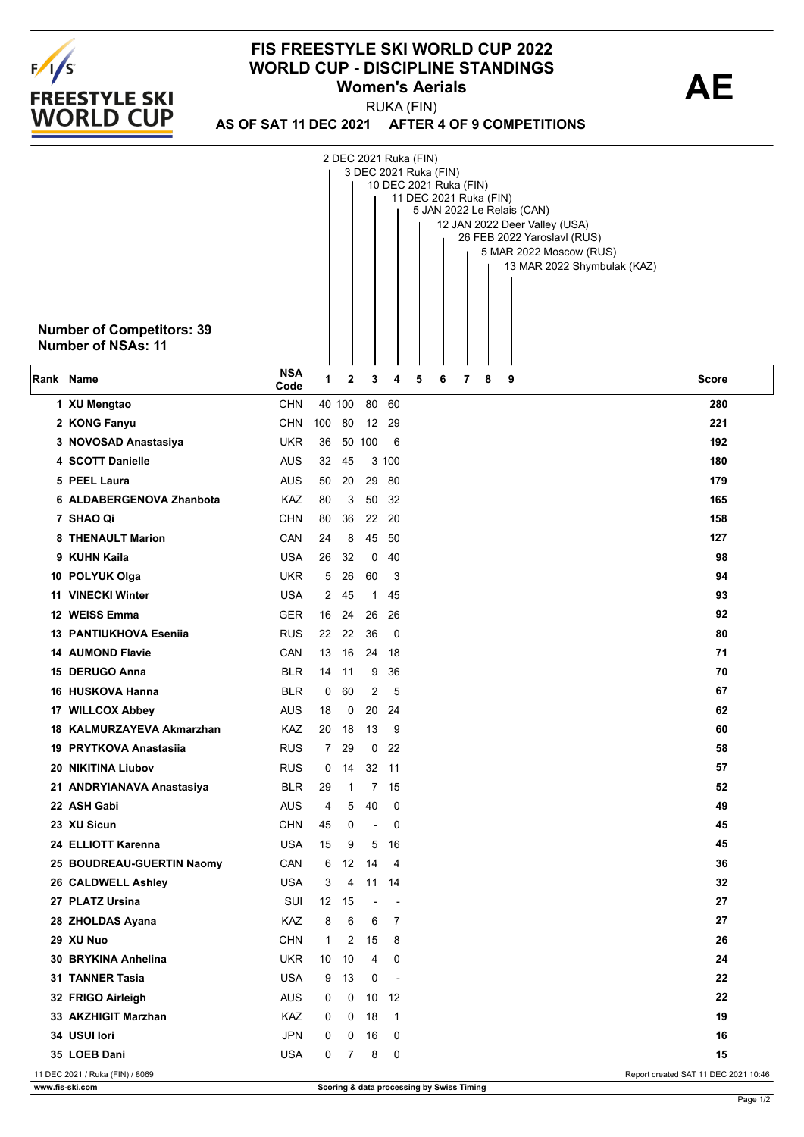

## **FIS FREESTYLE SKI WORLD CUP 2022 WORLD CUP - DISCIPLINE STANDINGS<br>Women's Aerials <b>AE Women's Aerials**

RUKA (FIN)

**AS OF SAT 11 DEC 2021 AFTER 4 OF 9 COMPETITIONS**

|           | <b>Number of Competitors: 39</b><br>Number of NSAs: 11 |                    |              |        |                          |                          | 2 DEC 2021 Ruka (FIN)<br>3 DEC 2021 Ruka (FIN)<br>10 DEC 2021 Ruka (FIN)<br>11 DEC 2021 Ruka (FIN) |   |   | 5 JAN 2022 Le Relais (CAN)<br>12 JAN 2022 Deer Valley (USA)<br>26 FEB 2022 Yaroslavl (RUS)<br>5 MAR 2022 Moscow (RUS)<br>13 MAR 2022 Shymbulak (KAZ) |  |
|-----------|--------------------------------------------------------|--------------------|--------------|--------|--------------------------|--------------------------|----------------------------------------------------------------------------------------------------|---|---|------------------------------------------------------------------------------------------------------------------------------------------------------|--|
| Rank Name |                                                        | <b>NSA</b><br>Code | 1            | 2      | 3                        | 4                        | 5<br>6                                                                                             | 7 | 8 | 9<br><b>Score</b>                                                                                                                                    |  |
|           | 1 XU Mengtao                                           | <b>CHN</b>         |              | 40 100 |                          | 80 60                    |                                                                                                    |   |   | 280                                                                                                                                                  |  |
|           | 2 KONG Fanyu                                           | <b>CHN</b>         | 100          | 80     |                          | 12 29                    |                                                                                                    |   |   | 221                                                                                                                                                  |  |
|           | 3 NOVOSAD Anastasiya                                   | <b>UKR</b>         | 36           |        | 50 100                   | 6                        |                                                                                                    |   |   | 192                                                                                                                                                  |  |
|           | 4 SCOTT Danielle                                       | <b>AUS</b>         | 32           | 45     |                          | 3 100                    |                                                                                                    |   |   | 180                                                                                                                                                  |  |
|           | 5 PEEL Laura                                           | <b>AUS</b>         | 50           | 20     |                          | 29 80                    |                                                                                                    |   |   | 179                                                                                                                                                  |  |
|           | 6 ALDABERGENOVA Zhanbota                               | KAZ                | 80           | 3      |                          | 50 32                    |                                                                                                    |   |   | 165                                                                                                                                                  |  |
|           | 7 SHAO Qi                                              | <b>CHN</b>         | 80           | 36     |                          | 22 20                    |                                                                                                    |   |   | 158                                                                                                                                                  |  |
|           | 8 THENAULT Marion                                      | CAN                | 24           | 8      |                          | 45 50                    |                                                                                                    |   |   | 127                                                                                                                                                  |  |
|           | 9 KUHN Kaila                                           | <b>USA</b>         | 26           | 32     |                          | 040                      |                                                                                                    |   |   | 98                                                                                                                                                   |  |
|           | 10 POLYUK Olga                                         | <b>UKR</b>         | 5            | 26     | 60                       | 3                        |                                                                                                    |   |   | 94                                                                                                                                                   |  |
|           | 11 VINECKI Winter                                      | <b>USA</b>         | $\mathbf{2}$ | 45     | $\mathbf{1}$             | 45                       |                                                                                                    |   |   | 93                                                                                                                                                   |  |
|           | 12 WEISS Emma                                          | <b>GER</b>         | 16           | 24     |                          | 26 26                    |                                                                                                    |   |   | 92                                                                                                                                                   |  |
|           | <b>13 PANTIUKHOVA Eseniia</b>                          | <b>RUS</b>         | 22           | 22     | 36                       | - 0                      |                                                                                                    |   |   | 80                                                                                                                                                   |  |
|           | <b>14 AUMOND Flavie</b>                                | CAN                | 13           | 16     |                          | 24 18                    |                                                                                                    |   |   | 71                                                                                                                                                   |  |
|           | 15 DERUGO Anna                                         | <b>BLR</b>         | 14           | 11     | 9                        | 36                       |                                                                                                    |   |   | 70                                                                                                                                                   |  |
|           | 16 HUSKOVA Hanna                                       | <b>BLR</b>         | 0            | 60     | 2                        | 5                        |                                                                                                    |   |   | 67                                                                                                                                                   |  |
|           | 17 WILLCOX Abbey                                       | <b>AUS</b>         | 18           | 0      |                          | 20 24                    |                                                                                                    |   |   | 62                                                                                                                                                   |  |
|           | 18 KALMURZAYEVA Akmarzhan                              | KAZ                | 20           | 18     | 13                       | 9                        |                                                                                                    |   |   | 60                                                                                                                                                   |  |
|           | 19 PRYTKOVA Anastasiia                                 | <b>RUS</b>         | 7            | 29     | $\mathbf{0}$             | 22                       |                                                                                                    |   |   | 58                                                                                                                                                   |  |
|           | 20 NIKITINA Liubov                                     | <b>RUS</b>         | 0            |        | 14 32 11                 |                          |                                                                                                    |   |   | 57                                                                                                                                                   |  |
|           | 21 ANDRYIANAVA Anastasiya                              | <b>BLR</b>         | 29           | 1      | $\overline{7}$           | - 15                     |                                                                                                    |   |   | 52                                                                                                                                                   |  |
|           | 22 ASH Gabi                                            | <b>AUS</b>         | 4            | 5      | 40                       | 0                        |                                                                                                    |   |   | 49                                                                                                                                                   |  |
|           | 23 XU Sicun                                            | <b>CHN</b>         | 45           | 0      | $\overline{\phantom{a}}$ | 0                        |                                                                                                    |   |   | 45                                                                                                                                                   |  |
|           | 24 ELLIOTT Karenna                                     | <b>USA</b>         | 15           | 9      | 5                        | - 16                     |                                                                                                    |   |   | 45                                                                                                                                                   |  |
|           | 25 BOUDREAU-GUERTIN Naomy                              | CAN                | 6            | 12     | -14                      | $\overline{4}$           |                                                                                                    |   |   | 36                                                                                                                                                   |  |
|           | 26 CALDWELL Ashley                                     | <b>USA</b>         | 3            | 4      |                          | 11 14                    |                                                                                                    |   |   | 32                                                                                                                                                   |  |
|           | 27 PLATZ Ursina                                        | SUI                | 12           | 15     | $\overline{\phantom{a}}$ | $\overline{\phantom{a}}$ |                                                                                                    |   |   | 27                                                                                                                                                   |  |
|           | 28 ZHOLDAS Ayana                                       | KAZ                | 8            | 6      | 6                        | 7                        |                                                                                                    |   |   | 27                                                                                                                                                   |  |
|           | 29 XU Nuo                                              | <b>CHN</b>         | 1            | 2      | 15                       | 8                        |                                                                                                    |   |   | 26                                                                                                                                                   |  |
|           | 30 BRYKINA Anhelina                                    | <b>UKR</b>         | 10           | 10     | 4                        | 0                        |                                                                                                    |   |   | 24                                                                                                                                                   |  |
|           | <b>31 TANNER Tasia</b>                                 | <b>USA</b>         | 9            | 13     | 0                        | $\sim$                   |                                                                                                    |   |   | 22                                                                                                                                                   |  |
|           | 32 FRIGO Airleigh                                      | <b>AUS</b>         | 0            | 0      |                          | 10 12                    |                                                                                                    |   |   | 22                                                                                                                                                   |  |
|           | 33 AKZHIGIT Marzhan                                    | <b>KAZ</b>         | 0            | 0      | 18                       | $\mathbf{1}$             |                                                                                                    |   |   | 19                                                                                                                                                   |  |
|           | 34 USUI lori                                           | <b>JPN</b>         | 0            | 0      | 16                       | 0                        |                                                                                                    |   |   | 16                                                                                                                                                   |  |
|           | 35 LOEB Dani                                           | <b>USA</b>         | 0            | 7      | 8                        | 0                        |                                                                                                    |   |   | 15                                                                                                                                                   |  |
|           | 11 DEC 2021 / Ruka (FIN) / 8069                        |                    |              |        |                          |                          |                                                                                                    |   |   | Report created SAT 11 DEC 2021 10:46                                                                                                                 |  |